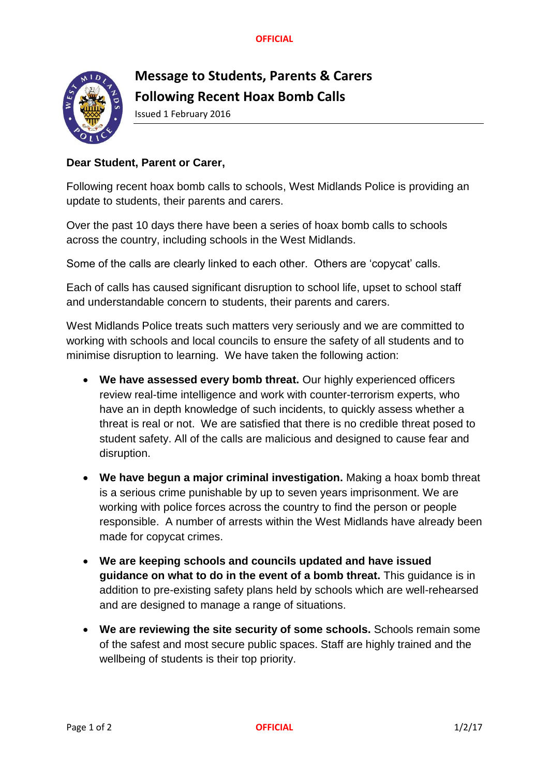**OFFICIAL**



## **Message to Students, Parents & Carers Following Recent Hoax Bomb Calls**

Issued 1 February 2016

## **Dear Student, Parent or Carer,**

Following recent hoax bomb calls to schools, West Midlands Police is providing an update to students, their parents and carers.

Over the past 10 days there have been a series of hoax bomb calls to schools across the country, including schools in the West Midlands.

Some of the calls are clearly linked to each other. Others are 'copycat' calls.

Each of calls has caused significant disruption to school life, upset to school staff and understandable concern to students, their parents and carers.

West Midlands Police treats such matters very seriously and we are committed to working with schools and local councils to ensure the safety of all students and to minimise disruption to learning. We have taken the following action:

- **We have assessed every bomb threat.** Our highly experienced officers review real-time intelligence and work with counter-terrorism experts, who have an in depth knowledge of such incidents, to quickly assess whether a threat is real or not. We are satisfied that there is no credible threat posed to student safety. All of the calls are malicious and designed to cause fear and disruption.
- **We have begun a major criminal investigation.** Making a hoax bomb threat is a serious crime punishable by up to seven years imprisonment. We are working with police forces across the country to find the person or people responsible. A number of arrests within the West Midlands have already been made for copycat crimes.
- **We are keeping schools and councils updated and have issued guidance on what to do in the event of a bomb threat.** This guidance is in addition to pre-existing safety plans held by schools which are well-rehearsed and are designed to manage a range of situations.
- **We are reviewing the site security of some schools.** Schools remain some of the safest and most secure public spaces. Staff are highly trained and the wellbeing of students is their top priority.